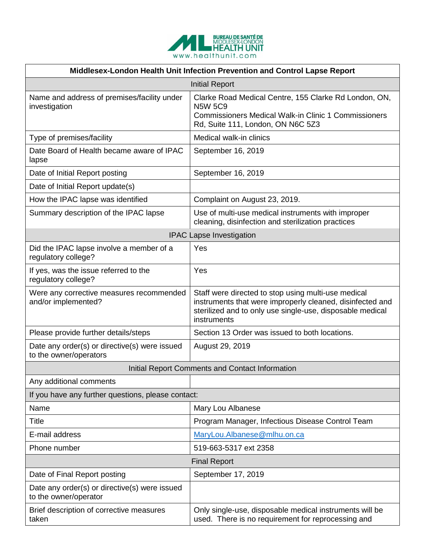

| Middlesex-London Health Unit Infection Prevention and Control Lapse Report |                                                                                                                                                                                              |
|----------------------------------------------------------------------------|----------------------------------------------------------------------------------------------------------------------------------------------------------------------------------------------|
| <b>Initial Report</b>                                                      |                                                                                                                                                                                              |
| Name and address of premises/facility under<br>investigation               | Clarke Road Medical Centre, 155 Clarke Rd London, ON,<br><b>N5W 5C9</b><br><b>Commissioners Medical Walk-in Clinic 1 Commissioners</b><br>Rd, Suite 111, London, ON N6C 5Z3                  |
| Type of premises/facility                                                  | Medical walk-in clinics                                                                                                                                                                      |
| Date Board of Health became aware of IPAC<br>lapse                         | September 16, 2019                                                                                                                                                                           |
| Date of Initial Report posting                                             | September 16, 2019                                                                                                                                                                           |
| Date of Initial Report update(s)                                           |                                                                                                                                                                                              |
| How the IPAC lapse was identified                                          | Complaint on August 23, 2019.                                                                                                                                                                |
| Summary description of the IPAC lapse                                      | Use of multi-use medical instruments with improper<br>cleaning, disinfection and sterilization practices                                                                                     |
| <b>IPAC Lapse Investigation</b>                                            |                                                                                                                                                                                              |
| Did the IPAC lapse involve a member of a<br>regulatory college?            | Yes                                                                                                                                                                                          |
| If yes, was the issue referred to the<br>regulatory college?               | Yes                                                                                                                                                                                          |
| Were any corrective measures recommended<br>and/or implemented?            | Staff were directed to stop using multi-use medical<br>instruments that were improperly cleaned, disinfected and<br>sterilized and to only use single-use, disposable medical<br>instruments |
| Please provide further details/steps                                       | Section 13 Order was issued to both locations.                                                                                                                                               |
| Date any order(s) or directive(s) were issued<br>to the owner/operators    | August 29, 2019                                                                                                                                                                              |
| Initial Report Comments and Contact Information                            |                                                                                                                                                                                              |
| Any additional comments                                                    |                                                                                                                                                                                              |
| If you have any further questions, please contact:                         |                                                                                                                                                                                              |
| Name                                                                       | Mary Lou Albanese                                                                                                                                                                            |
| <b>Title</b>                                                               | Program Manager, Infectious Disease Control Team                                                                                                                                             |
| E-mail address                                                             | MaryLou.Albanese@mlhu.on.ca                                                                                                                                                                  |
| Phone number                                                               | 519-663-5317 ext 2358                                                                                                                                                                        |
| <b>Final Report</b>                                                        |                                                                                                                                                                                              |
| Date of Final Report posting                                               | September 17, 2019                                                                                                                                                                           |
| Date any order(s) or directive(s) were issued<br>to the owner/operator     |                                                                                                                                                                                              |
| Brief description of corrective measures<br>taken                          | Only single-use, disposable medical instruments will be<br>used. There is no requirement for reprocessing and                                                                                |